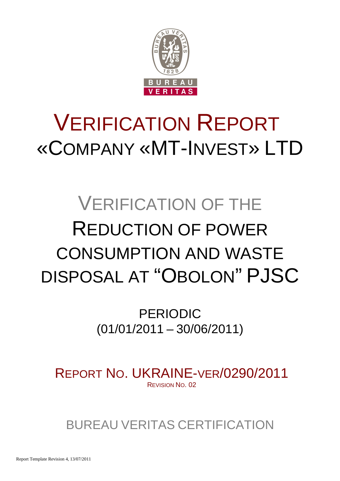

# VERIFICATION REPORT «COMPANY «MT-INVEST» LTD

# VERIFICATION OF THE REDUCTION OF POWER CONSUMPTION AND WASTE DISPOSAL AT "OBOLON" PJSC

PERIODIC (01/01/2011 – 30/06/2011)

REPORT NO. UKRAINE-VER/0290/2011 REVISION NO. 02

BUREAU VERITAS CERTIFICATION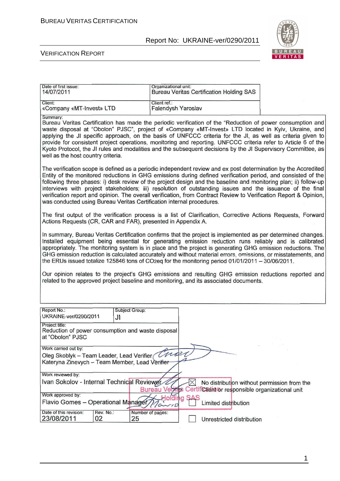

#### VERIFICATION REPORT

| Date of first issue:<br>14/07/2011                                                                                  |                                                                                                                                                                                                                                                                                                                                                                                                                                                                                                                                                           | Organizational unit:               |          | <b>Bureau Veritas Certification Holding SAS</b>                                                 |                                                                                                                                                                                                                                                                                                                                                                                                                                                                                                                                                                                      |  |
|---------------------------------------------------------------------------------------------------------------------|-----------------------------------------------------------------------------------------------------------------------------------------------------------------------------------------------------------------------------------------------------------------------------------------------------------------------------------------------------------------------------------------------------------------------------------------------------------------------------------------------------------------------------------------------------------|------------------------------------|----------|-------------------------------------------------------------------------------------------------|--------------------------------------------------------------------------------------------------------------------------------------------------------------------------------------------------------------------------------------------------------------------------------------------------------------------------------------------------------------------------------------------------------------------------------------------------------------------------------------------------------------------------------------------------------------------------------------|--|
| Client:<br>«Company «MT-Invest» LTD                                                                                 |                                                                                                                                                                                                                                                                                                                                                                                                                                                                                                                                                           | Client ref.:<br>Falendysh Yaroslav |          |                                                                                                 |                                                                                                                                                                                                                                                                                                                                                                                                                                                                                                                                                                                      |  |
| Summary:<br>well as the host country criteria.                                                                      |                                                                                                                                                                                                                                                                                                                                                                                                                                                                                                                                                           |                                    |          |                                                                                                 | Bureau Veritas Certification has made the periodic verification of the "Reduction of power consumption and<br>waste disposal at "Obolon" PJSC", project of «Company «MT-Invest» LTD located in Kyiv, Ukraine, and<br>applying the JI specific approach, on the basis of UNFCCC criteria for the JI, as well as criteria given to<br>provide for consistent project operations, monitoring and reporting. UNFCCC criteria refer to Article 6 of the<br>Kyoto Protocol, the JI rules and modalities and the subsequent decisions by the JI Supervisory Committee, as                   |  |
| was conducted using Bureau Veritas Certification internal procedures.                                               |                                                                                                                                                                                                                                                                                                                                                                                                                                                                                                                                                           |                                    |          |                                                                                                 | The verification scope is defined as a periodic independent review and ex post determination by the Accredited<br>Entity of the monitored reductions in GHG emissions during defined verification period, and consisted of the<br>following three phases: i) desk review of the project design and the baseline and monitoring plan; ii) follow-up<br>interviews with project stakeholders; iii) resolution of outstanding issues and the issuance of the final<br>verification report and opinion. The overall verification, from Contract Review to Verification Report & Opinion, |  |
|                                                                                                                     | The first output of the verification process is a list of Clarification, Corrective Actions Requests, Forward<br>Actions Requests (CR, CAR and FAR), presented in Appendix A.                                                                                                                                                                                                                                                                                                                                                                             |                                    |          |                                                                                                 |                                                                                                                                                                                                                                                                                                                                                                                                                                                                                                                                                                                      |  |
|                                                                                                                     | In summary, Bureau Veritas Certification confirms that the project is implemented as per determined changes.<br>Installed equipment being essential for generating emission reduction runs reliably and is calibrated<br>appropriately. The monitoring system is in place and the project is generating GHG emission reductions. The<br>GHG emission reduction is calculated accurately and without material errors, omissions, or misstatements, and<br>the ERUs issued totalize 125846 tons of CO2eq for the monitoring period 01/01/2011 - 30/06/2011. |                                    |          |                                                                                                 |                                                                                                                                                                                                                                                                                                                                                                                                                                                                                                                                                                                      |  |
|                                                                                                                     |                                                                                                                                                                                                                                                                                                                                                                                                                                                                                                                                                           |                                    |          | related to the approved project baseline and monitoring, and its associated documents.          | Our opinion relates to the project's GHG emissions and resulting GHG emission reductions reported and                                                                                                                                                                                                                                                                                                                                                                                                                                                                                |  |
| Report No.:<br>UKRAINE-ver/0290/2011                                                                                | J۱                                                                                                                                                                                                                                                                                                                                                                                                                                                                                                                                                        | Subject Group:                     |          |                                                                                                 |                                                                                                                                                                                                                                                                                                                                                                                                                                                                                                                                                                                      |  |
| Project title:<br>Reduction of power consumption and waste disposal<br>at "Obolon" PJSC                             |                                                                                                                                                                                                                                                                                                                                                                                                                                                                                                                                                           |                                    |          |                                                                                                 |                                                                                                                                                                                                                                                                                                                                                                                                                                                                                                                                                                                      |  |
| Work carried out by:<br>Oleg Skoblyk - Team Leader, Lead Verifier<br>Kateryna Zinevych - Team Member, Lead Verifier |                                                                                                                                                                                                                                                                                                                                                                                                                                                                                                                                                           | nos                                |          |                                                                                                 |                                                                                                                                                                                                                                                                                                                                                                                                                                                                                                                                                                                      |  |
| Work reviewed by:                                                                                                   |                                                                                                                                                                                                                                                                                                                                                                                                                                                                                                                                                           |                                    |          |                                                                                                 |                                                                                                                                                                                                                                                                                                                                                                                                                                                                                                                                                                                      |  |
| Ivan Sokolov - Internal Technical Reviewer                                                                          |                                                                                                                                                                                                                                                                                                                                                                                                                                                                                                                                                           | <b>Bureau Vertas</b>               | $\times$ | No distribution without permission from the<br>Certificitent or responsible organizational unit |                                                                                                                                                                                                                                                                                                                                                                                                                                                                                                                                                                                      |  |
| Work approved by:                                                                                                   |                                                                                                                                                                                                                                                                                                                                                                                                                                                                                                                                                           |                                    |          |                                                                                                 |                                                                                                                                                                                                                                                                                                                                                                                                                                                                                                                                                                                      |  |
| Flavio Gomes - Operational Manager                                                                                  |                                                                                                                                                                                                                                                                                                                                                                                                                                                                                                                                                           |                                    | Ю        | Limited distribution                                                                            |                                                                                                                                                                                                                                                                                                                                                                                                                                                                                                                                                                                      |  |
| Date of this revision:<br>23/08/2011                                                                                | Rev. No.:<br>02                                                                                                                                                                                                                                                                                                                                                                                                                                                                                                                                           | Number of pages:<br>25             |          | Unrestricted distribution                                                                       |                                                                                                                                                                                                                                                                                                                                                                                                                                                                                                                                                                                      |  |

1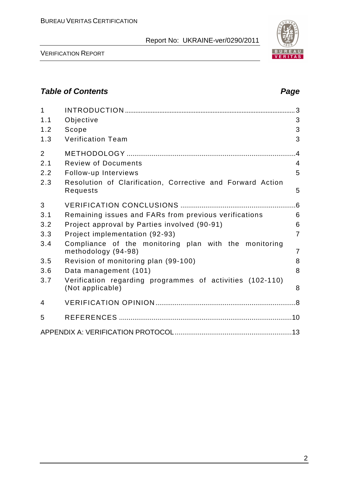VERIFICATION REPORT

# **Table of Contents Page 2018**

| $\mathbf{1}$<br>1.1<br>1.2<br>1.3                  | Objective<br>Scope<br><b>Verification Team</b>                                                                                                                                                                                                                                                                                                        | 3<br>3<br>3                                                |
|----------------------------------------------------|-------------------------------------------------------------------------------------------------------------------------------------------------------------------------------------------------------------------------------------------------------------------------------------------------------------------------------------------------------|------------------------------------------------------------|
| $\overline{2}$<br>2.1<br>2.2<br>2.3                | <b>Review of Documents</b><br>Follow-up Interviews<br>Resolution of Clarification, Corrective and Forward Action<br>Requests                                                                                                                                                                                                                          | .4<br>$\overline{4}$<br>5<br>5                             |
| 3<br>3.1<br>3.2<br>3.3<br>3.4<br>3.5<br>3.6<br>3.7 | Remaining issues and FARs from previous verifications<br>Project approval by Parties involved (90-91)<br>Project implementation (92-93)<br>Compliance of the monitoring plan with the monitoring<br>methodology (94-98)<br>Revision of monitoring plan (99-100)<br>Data management (101)<br>Verification regarding programmes of activities (102-110) | .6<br>6<br>6<br>$\overline{7}$<br>$\overline{7}$<br>8<br>8 |
| 4                                                  | (Not applicable)                                                                                                                                                                                                                                                                                                                                      | 8                                                          |
| 5                                                  |                                                                                                                                                                                                                                                                                                                                                       |                                                            |
|                                                    |                                                                                                                                                                                                                                                                                                                                                       |                                                            |

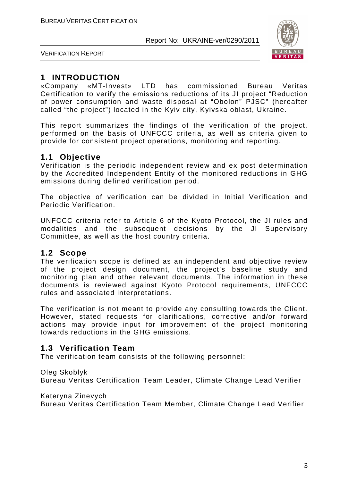

VERIFICATION REPORT

# **1 INTRODUCTION**

«Company «MT-Invest» LTD has commissioned Bureau Veritas Certification to verify the emissions reductions of its JI project "Reduction of power consumption and waste disposal at "Obolon" PJSC" (hereafter called "the project") located in the Kyiv city, Kyivska oblast, Ukraine.

This report summarizes the findings of the verification of the project, performed on the basis of UNFCCC criteria, as well as criteria given to provide for consistent project operations, monitoring and reporting.

### **1.1 Objective**

Verification is the periodic independent review and ex post determination by the Accredited Independent Entity of the monitored reductions in GHG emissions during defined verification period.

The objective of verification can be divided in Initial Verification and Periodic Verification.

UNFCCC criteria refer to Article 6 of the Kyoto Protocol, the JI rules and modalities and the subsequent decisions by the JI Supervisory Committee, as well as the host country criteria.

#### **1.2 Scope**

The verification scope is defined as an independent and objective review of the project design document, the project's baseline study and monitoring plan and other relevant documents. The information in these documents is reviewed against Kyoto Protocol requirements, UNFCCC rules and associated interpretations.

The verification is not meant to provide any consulting towards the Client. However, stated requests for clarifications, corrective and/or forward actions may provide input for improvement of the project monitoring towards reductions in the GHG emissions.

#### **1.3 Verification Team**

The verification team consists of the following personnel:

#### Oleg Skoblyk

Bureau Veritas Certification Team Leader, Climate Change Lead Verifier

Kateryna Zinevych

Bureau Veritas Certification Team Member, Climate Change Lead Verifier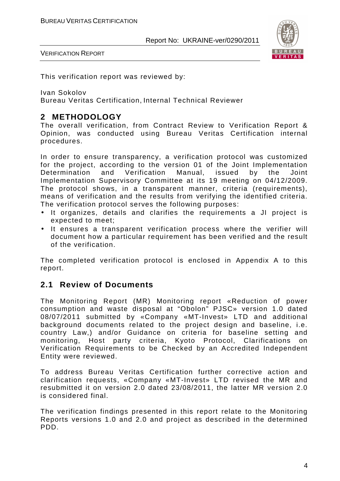

VERIFICATION REPORT

This verification report was reviewed by:

Ivan Sokolov

Bureau Veritas Certification, Internal Technical Reviewer

## **2 METHODOLOGY**

The overall verification, from Contract Review to Verification Report & Opinion, was conducted using Bureau Veritas Certification internal procedures.

In order to ensure transparency, a verification protocol was customized for the project, according to the version 01 of the Joint Implementation Determination and Verification Manual, issued by the Joint Implementation Supervisory Committee at its 19 meeting on 04/12/2009. The protocol shows, in a transparent manner, criteria (requirements), means of verification and the results from verifying the identified criteria. The verification protocol serves the following purposes:

- It organizes, details and clarifies the requirements a JI project is expected to meet;
- It ensures a transparent verification process where the verifier will document how a particular requirement has been verified and the result of the verification.

The completed verification protocol is enclosed in Appendix A to this report.

#### **2.1 Review of Documents**

The Monitoring Report (MR) Monitoring report «Reduction of power consumption and waste disposal at "Obolon" PJSC» version 1.0 dated 08/07/2011 submitted by «Company «MT-Invest» LTD and additional background documents related to the project design and baseline, i.e. country Law,) and/or Guidance on criteria for baseline setting and monitoring, Host party criteria, Kyoto Protocol, Clarifications on Verification Requirements to be Checked by an Accredited Independent Entity were reviewed.

To address Bureau Veritas Certification further corrective action and clarification requests, «Company «MT-Invest» LTD revised the MR and resubmitted it on version 2.0 dated 23/08/2011, the latter MR version 2.0 is considered final.

The verification findings presented in this report relate to the Monitoring Reports versions 1.0 and 2.0 and project as described in the determined PDD.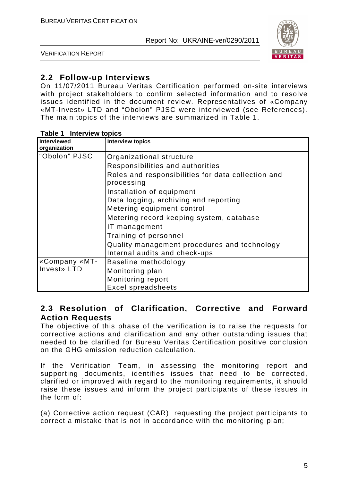

VERIFICATION REPORT

### **2.2 Follow-up Interviews**

On 11/07/2011 Bureau Veritas Certification performed on-site interviews with project stakeholders to confirm selected information and to resolve issues identified in the document review. Representatives of «Company «MT-Invest» LTD and "Obolon" PJSC were interviewed (see References). The main topics of the interviews are summarized in Table 1.

| $14000 + 11001100$<br><b>Interviewed</b> | <b>Interview topics</b>                                          |
|------------------------------------------|------------------------------------------------------------------|
| organization                             |                                                                  |
|                                          |                                                                  |
| "Obolon" PJSC                            | Organizational structure                                         |
|                                          | Responsibilities and authorities                                 |
|                                          | Roles and responsibilities for data collection and<br>processing |
|                                          | Installation of equipment                                        |
|                                          | Data logging, archiving and reporting                            |
|                                          | Metering equipment control                                       |
|                                          | Metering record keeping system, database                         |
|                                          | IT management                                                    |
|                                          | Training of personnel                                            |
|                                          | Quality management procedures and technology                     |
|                                          | Internal audits and check-ups                                    |
| «Company «MT-                            | Baseline methodology                                             |
| Invest» LTD                              | Monitoring plan                                                  |
|                                          | Monitoring report                                                |
|                                          | <b>Excel spreadsheets</b>                                        |

#### **Table 1 Interview topics**

#### **2.3 Resolution of Clarification, Corrective and Forward Action Requests**

The objective of this phase of the verification is to raise the requests for corrective actions and clarification and any other outstanding issues that needed to be clarified for Bureau Veritas Certification positive conclusion on the GHG emission reduction calculation.

If the Verification Team, in assessing the monitoring report and supporting documents, identifies issues that need to be corrected, clarified or improved with regard to the monitoring requirements, it should raise these issues and inform the project participants of these issues in the form of:

(a) Corrective action request (CAR), requesting the project participants to correct a mistake that is not in accordance with the monitoring plan;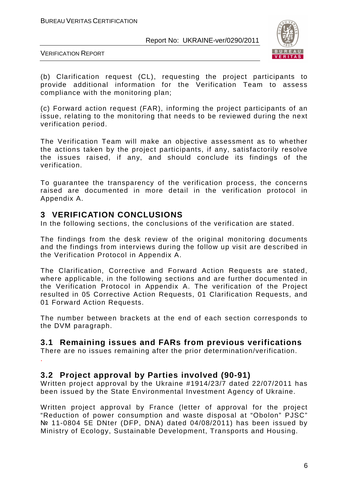

VERIFICATION REPORT

(b) Clarification request (CL), requesting the project participants to provide additional information for the Verification Team to assess compliance with the monitoring plan;

(c) Forward action request (FAR), informing the project participants of an issue, relating to the monitoring that needs to be reviewed during the next verification period.

The Verification Team will make an objective assessment as to whether the actions taken by the project participants, if any, satisfactorily resolve the issues raised, if any, and should conclude its findings of the verification.

To guarantee the transparency of the verification process, the concerns raised are documented in more detail in the verification protocol in Appendix A.

#### **3 VERIFICATION CONCLUSIONS**

In the following sections, the conclusions of the verification are stated.

The findings from the desk review of the original monitoring documents and the findings from interviews during the follow up visit are described in the Verification Protocol in Appendix A.

The Clarification, Corrective and Forward Action Requests are stated, where applicable, in the following sections and are further documented in the Verification Protocol in Appendix A. The verification of the Project resulted in 05 Corrective Action Requests, 01 Clarification Requests, and 01 Forward Action Requests.

The number between brackets at the end of each section corresponds to the DVM paragraph.

#### **3.1 Remaining issues and FARs from previous verifications**

There are no issues remaining after the prior determination/verification. .

**3.2 Project approval by Parties involved (90-91)** 

Written project approval by the Ukraine #1914/23/7 dated 22/07/2011 has been issued by the State Environmental Investment Agency of Ukraine.

Written project approval by France (letter of approval for the project "Reduction of power consumption and waste disposal at "Obolon" PJSC" № 11-0804 5E DNter (DFP, DNA) dated 04/08/2011) has been issued by Ministry of Ecology, Sustainable Development, Transports and Housing.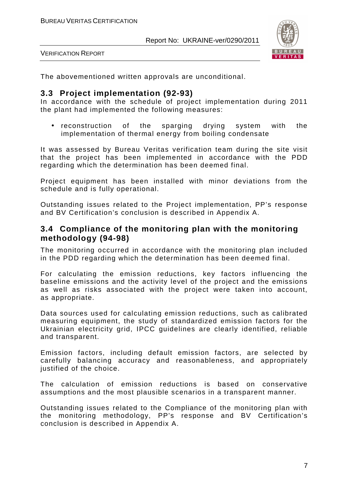



The abovementioned written approvals are unconditional.

#### **3.3 Project implementation (92-93)**

In accordance with the schedule of project implementation during 2011 the plant had implemented the following measures:

• reconstruction of the sparging drying system with the implementation of thermal energy from boiling condensate

It was assessed by Bureau Veritas verification team during the site visit that the project has been implemented in accordance with the PDD regarding which the determination has been deemed final.

Project equipment has been installed with minor deviations from the schedule and is fully operational.

Outstanding issues related to the Project implementation, PP's response and BV Certification's conclusion is described in Appendix A.

#### **3.4 Compliance of the monitoring plan with the monitoring methodology (94-98)**

The monitoring occurred in accordance with the monitoring plan included in the PDD regarding which the determination has been deemed final.

For calculating the emission reductions, key factors influencing the baseline emissions and the activity level of the project and the emissions as well as risks associated with the project were taken into account, as appropriate.

Data sources used for calculating emission reductions, such as calibrated measuring equipment, the study of standardized emission factors for the Ukrainian electricity grid, IPCC guidelines are clearly identified, reliable and transparent.

Emission factors, including default emission factors, are selected by carefully balancing accuracy and reasonableness, and appropriately justified of the choice.

The calculation of emission reductions is based on conservative assumptions and the most plausible scenarios in a transparent manner.

Outstanding issues related to the Compliance of the monitoring plan with the monitoring methodology, PP's response and BV Certification's conclusion is described in Appendix A.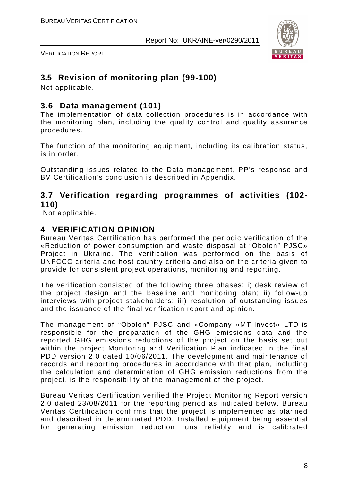

VERIFICATION REPORT

# **3.5 Revision of monitoring plan (99-100)**

Not applicable.

### **3.6 Data management (101)**

The implementation of data collection procedures is in accordance with the monitoring plan, including the quality control and quality assurance procedures.

The function of the monitoring equipment, including its calibration status, is in order.

Outstanding issues related to the Data management, PP's response and BV Certification's conclusion is described in Appendix.

#### **3.7 Verification regarding programmes of activities (102- 110)**

Not applicable.

### **4 VERIFICATION OPINION**

Bureau Veritas Certification has performed the periodic verification of the «Reduction of power consumption and waste disposal at "Obolon" PJSC» Project in Ukraine. The verification was performed on the basis of UNFCCC criteria and host country criteria and also on the criteria given to provide for consistent project operations, monitoring and reporting.

The verification consisted of the following three phases: i) desk review of the project design and the baseline and monitoring plan; ii) follow-up interviews with project stakeholders; iii) resolution of outstanding issues and the issuance of the final verification report and opinion.

The management of "Obolon" PJSC and «Company «MT-Invest» LTD is responsible for the preparation of the GHG emissions data and the reported GHG emissions reductions of the project on the basis set out within the project Monitoring and Verification Plan indicated in the final PDD version 2.0 dated 10/06/2011. The development and maintenance of records and reporting procedures in accordance with that plan, including the calculation and determination of GHG emission reductions from the project, is the responsibility of the management of the project.

Bureau Veritas Certification verified the Project Monitoring Report version 2.0 dated 23/08/2011 for the reporting period as indicated below. Bureau Veritas Certification confirms that the project is implemented as planned and described in determinated PDD. Installed equipment being essential for generating emission reduction runs reliably and is calibrated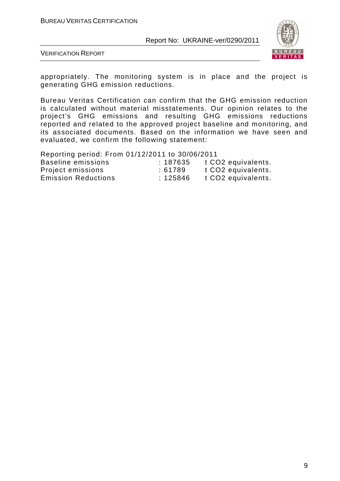

VERIFICATION REPORT

appropriately. The monitoring system is in place and the project is generating GHG emission reductions.

Bureau Veritas Certification can confirm that the GHG emission reduction is calculated without material misstatements. Our opinion relates to the project's GHG emissions and resulting GHG emissions reductions reported and related to the approved project baseline and monitoring, and its associated documents. Based on the information we have seen and evaluated, we confirm the following statement:

Reporting period: From 01/12/2011 to 30/06/2011

| Baseline emissions         | :187635 | t CO <sub>2</sub> equivalents. |
|----------------------------|---------|--------------------------------|
| Project emissions          | :61789  | t CO <sub>2</sub> equivalents. |
| <b>Emission Reductions</b> | :125846 | t CO <sub>2</sub> equivalents. |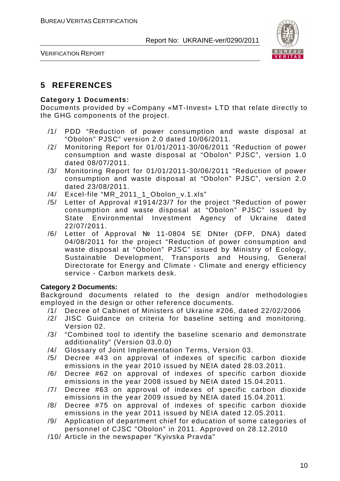

VERIFICATION REPORT

### **5 REFERENCES**

#### **Category 1 Documents:**

Documents provided by «Company «MT-Invest» LTD that relate directly to the GHG components of the project.

- /1/ PDD "Reduction of power consumption and waste disposal at "Obolon" PJSC" version 2.0 dated 10/06/2011.
- /2/ Monitoring Report for 01/01/2011-30/06/2011 "Reduction of power consumption and waste disposal at "Obolon" PJSC", version 1.0 dated 08/07/2011.
- /3/ Monitoring Report for 01/01/2011-30/06/2011 "Reduction of power consumption and waste disposal at "Obolon" PJSC", version 2.0 dated 23/08/2011.
- /4/ Excel-file "MR\_2011\_1\_Obolon\_v.1.xls"
- /5/ Letter of Approval #1914/23/7 for the project "Reduction of power consumption and waste disposal at "Obolon" PJSC" issued by State Environmental Investment Agency of Ukraine dated 22/07/2011.
- /6/ Letter of Approval № 11-0804 5E DNter (DFP, DNA) dated 04/08/2011 for the project "Reduction of power consumption and waste disposal at "Obolon" PJSC" issued by Ministry of Ecology, Sustainable Development, Transports and Housing, General Directorate for Energy and Climate - Climate and energy efficiency service - Carbon markets desk.

#### **Category 2 Documents:**

Background documents related to the design and/or methodologies employed in the design or other reference documents.

- /1/ Decree of Cabinet of Ministers of Ukraine #206, dated 22/02/2006
- /2/ JISC Guidance on criteria for baseline setting and monitoring. Version 02.
- /3/ "Combined tool to identify the baseline scenario and demonstrate additionality" (Version 03.0.0)
- /4/ Glossary of Joint Implementation Terms, Version 03.
- /5/ Decree #43 on approval of indexes of specific carbon dioxide emissions in the year 2010 issued by NEIA dated 28.03.2011.
- /6/ Decree #62 on approval of indexes of specific carbon dioxide emissions in the year 2008 issued by NEIA dated 15.04.2011.
- /7/ Decree #63 on approval of indexes of specific carbon dioxide emissions in the year 2009 issued by NEIA dated 15.04.2011.
- /8/ Decree #75 on approval of indexes of specific carbon dioxide emissions in the year 2011 issued by NEIA dated 12.05.2011.
- /9/ Application of department chief for education of some categories of personnel of CJSC "Obolon" in 2011. Approved on 28.12.2010
- /10/ Article in the newspaper "Kyivska Pravda"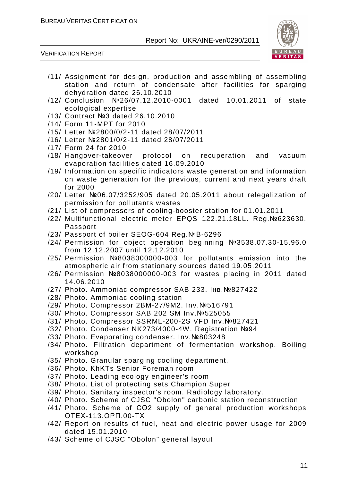



- /11/ Assignment for design, production and assembling of assembling station and return of condensate after facilities for sparging dehydration dated 26.10.2010
- /12/ Conclusion №26/07.12.2010-0001 dated 10.01.2011 of state ecological expertise
- /13/ Contract №3 dated 26.10.2010
- /14/ Form 11-MPT for 2010
- /15/ Letter №2800/0/2-11 dated 28/07/2011
- /16/ Letter №2801/0/2-11 dated 28/07/2011
- /17/ Form 24 for 2010
- /18/ Hangover-takeover protocol on recuperation and vacuum evaporation facilities dated 16.09.2010
- /19/ Information on specific indicators waste generation and information on waste generation for the previous, current and next years draft for 2000
- /20/ Letter №06.07/3252/905 dated 20.05.2011 about relegalization of permission for pollutants wastes
- /21/ List of compressors of cooling-booster station for 01.01.2011
- /22/ Multifunctional electric meter EPQS 122.21.18LL. Reg.№623630. Passport
- /23/ Passport of boiler SEOG-604 Reg.№В-6296
- /24/ Permission for object operation beginning №3538.07.30-15.96.0 from 12.12.2007 until 12.12.2010
- /25/ Permission №8038000000-003 for pollutants emission into the atmospheric air from stationary sources dated 19.05.2011
- /26/ Permission №8038000000-003 for wastes placing in 2011 dated 14.06.2010
- /27/ Photo. Ammoniac compressor SAB 233. Інв.№827422
- /28/ Photo. Ammoniac cooling station
- /29/ Photo. Compressor 2BM-27/9M2. Inv.№516791
- /30/ Photo. Compressor SAB 202 SM Inv.№525055
- /31/ Photo. Compressor SSRML-200-2S VFD Inv.№827421
- /32/ Photo. Condenser NK273/4000-4W. Registration №94
- /33/ Photo. Evaporating condenser. Inv.№803248
- /34/ Photo. Filtration department of fermentation workshop. Boiling workshop
- /35/ Photo. Granular sparging cooling department.
- /36/ Photo. KhKTs Senior Foreman room
- /37/ Photo. Leading ecology engineer's room
- /38/ Photo. List of protecting sets Champion Super
- /39/ Photo. Sanitary inspector's room. Radiology laboratory.
- /40/ Photo. Scheme of CJSC "Obolon" carbonic station reconstruction
- /41/ Photo. Scheme of СО2 supply of general production workshops ОТЕХ-113.ОРП.00-ТХ
- /42/ Report on results of fuel, heat and electric power usage for 2009 dated 15.01.2010
- /43/ Scheme of CJSC "Obolon" general layout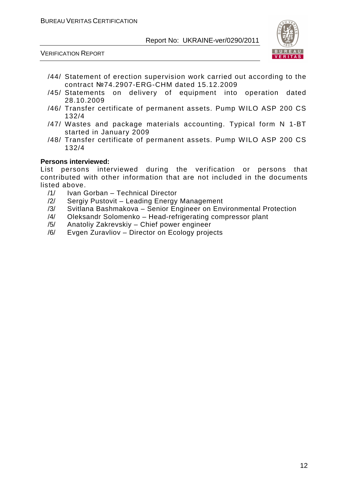

VERIFICATION REPORT

- /44/ Statement of erection supervision work carried out according to the contract №74.2907-ERG-CHM dated 15.12.2009
- /45/ Statements on delivery of equipment into operation dated 28.10.2009
- /46/ Transfer certificate of permanent assets. Pump WILO ASP 200 CS 132/4
- /47/ Wastes and package materials accounting. Typical form N 1-BT started in January 2009
- /48/ Transfer certificate of permanent assets. Pump WILO ASP 200 CS 132/4

#### **Persons interviewed:**

List persons interviewed during the verification or persons that contributed with other information that are not included in the documents listed above.

- /1/ Ivan Gorban Technical Director
- /2/ Sergiy Pustovit Leading Energy Management
- /3/ Svitlana Bashmakova Senior Engineer on Environmental Protection
- /4/ Oleksandr Solomenko Head-refrigerating compressor plant
- /5/ Anatoliy Zakrevskiy Chief power engineer
- /6/ Evgen Zuravliov Director on Ecology projects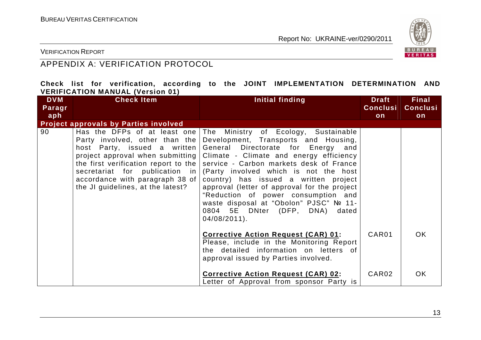

VERIFICATION REPORT

# APPENDIX A: VERIFICATION PROTOCOL

|  |                                         |  |  | Check list for verification, according to the JOINT IMPLEMENTATION DETERMINATION AND |  |
|--|-----------------------------------------|--|--|--------------------------------------------------------------------------------------|--|
|  | <b>VERIFICATION MANUAL (Version 01)</b> |  |  |                                                                                      |  |

| <b>DVM</b> | <b>Check Item</b>                                                                                                                      | Initial finding                                                                                                                                                                                                                                                                                                                                                                                                                                                                                                                                                                                                       | <b>Draft</b>      | <b>Final</b>    |
|------------|----------------------------------------------------------------------------------------------------------------------------------------|-----------------------------------------------------------------------------------------------------------------------------------------------------------------------------------------------------------------------------------------------------------------------------------------------------------------------------------------------------------------------------------------------------------------------------------------------------------------------------------------------------------------------------------------------------------------------------------------------------------------------|-------------------|-----------------|
| Paragr     |                                                                                                                                        |                                                                                                                                                                                                                                                                                                                                                                                                                                                                                                                                                                                                                       | <b>Conclusi</b>   | <b>Conclusi</b> |
| aph        |                                                                                                                                        |                                                                                                                                                                                                                                                                                                                                                                                                                                                                                                                                                                                                                       | on                | on              |
|            | <b>Project approvals by Parties involved</b>                                                                                           |                                                                                                                                                                                                                                                                                                                                                                                                                                                                                                                                                                                                                       |                   |                 |
| 90         | Party involved, other than the<br>host Party, issued a written<br>accordance with paragraph 38 of<br>the JI guidelines, at the latest? | Has the DFPs of at least one   The Ministry of Ecology, Sustainable<br>Development, Transports and Housing,<br>General Directorate for Energy and<br>project approval when submitting   Climate - Climate and energy efficiency<br>the first verification report to the service - Carbon markets desk of France<br>secretariat for publication in (Party involved which is not the host<br>country) has issued a written project<br>approval (letter of approval for the project<br>"Reduction of power consumption and<br>waste disposal at "Obolon" PJSC" № 11-<br>0804 5E DNter (DFP, DNA) dated<br>$04/08/2011$ . |                   |                 |
|            |                                                                                                                                        | <b>Corrective Action Request (CAR) 01:</b><br>Please, include in the Monitoring Report<br>the detailed information on letters of<br>approval issued by Parties involved.                                                                                                                                                                                                                                                                                                                                                                                                                                              | CAR <sub>01</sub> | OK.             |
|            |                                                                                                                                        | <b>Corrective Action Request (CAR) 02:</b><br>etter of Approval from sponsor Party is                                                                                                                                                                                                                                                                                                                                                                                                                                                                                                                                 | CAR02             | <b>OK</b>       |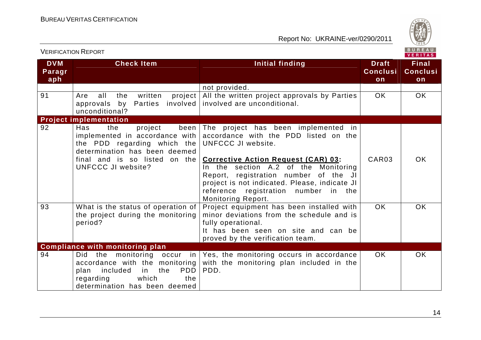

|                             | <b>VERIFICATION REPORT</b>                                                                                                                                                                    |                                                                                                                                                                                                                                   |                                       | BUREAU<br><b>VERITAS</b>              |
|-----------------------------|-----------------------------------------------------------------------------------------------------------------------------------------------------------------------------------------------|-----------------------------------------------------------------------------------------------------------------------------------------------------------------------------------------------------------------------------------|---------------------------------------|---------------------------------------|
| <b>DVM</b><br>Paragr<br>aph | <b>Check Item</b>                                                                                                                                                                             | Initial finding                                                                                                                                                                                                                   | <b>Draft</b><br><b>Conclusi</b><br>on | <b>Final</b><br><b>Conclusi</b><br>on |
|                             |                                                                                                                                                                                               | not provided.                                                                                                                                                                                                                     |                                       |                                       |
| 91                          | written<br>project<br>all<br>the<br>Are<br>Parties involved<br>approvals by<br>unconditional?                                                                                                 | All the written project approvals by Parties<br>involved are unconditional.                                                                                                                                                       | <b>OK</b>                             | <b>OK</b>                             |
|                             | <b>Project implementation</b>                                                                                                                                                                 |                                                                                                                                                                                                                                   |                                       |                                       |
| 92                          | been<br>Has<br>the<br>project<br>implemented in accordance with<br>the PDD regarding which the<br>determination has been deemed<br>final and is so listed on the<br><b>UNFCCC JI website?</b> | The project has been implemented in<br>accordance with the PDD listed on the<br>UNFCCC JI website.<br><b>Corrective Action Request (CAR) 03:</b><br>In the section A.2 of the Monitoring<br>Report, registration number of the JI | CAR03                                 | <b>OK</b>                             |
|                             |                                                                                                                                                                                               | project is not indicated. Please, indicate JI<br>reference registration number in the<br><b>Monitoring Report.</b>                                                                                                                |                                       |                                       |
| 93                          | What is the status of operation of<br>the project during the monitoring<br>period?                                                                                                            | Project equipment has been installed with<br>minor deviations from the schedule and is<br>fully operational.<br>It has been seen on site and can be<br>proved by the verification team.                                           | OK.                                   | <b>OK</b>                             |
|                             | <b>Compliance with monitoring plan</b>                                                                                                                                                        |                                                                                                                                                                                                                                   |                                       |                                       |
| 94                          | Did the monitoring occur in<br>accordance with the monitoring<br><b>PDD</b><br>included<br>in<br>the<br>plan<br>regarding<br>which<br>the<br>determination has been deemed                    | Yes, the monitoring occurs in accordance<br>with the monitoring plan included in the<br>PDD.                                                                                                                                      | OK.                                   | <b>OK</b>                             |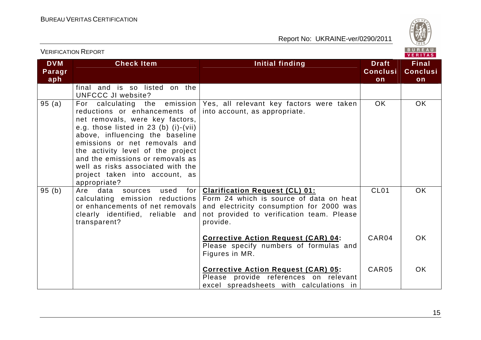

VERIFICATION REPORT

| <b>DVM</b><br>Paragr<br>aph | <b>Check Item</b>                                                                                                                                                                                                                                                                                                                               | Initial finding                                                                                                                                                                       | <b>Draft</b><br><b>Conclusi</b><br>on | <b>Final</b><br><b>Conclusi</b><br>on |
|-----------------------------|-------------------------------------------------------------------------------------------------------------------------------------------------------------------------------------------------------------------------------------------------------------------------------------------------------------------------------------------------|---------------------------------------------------------------------------------------------------------------------------------------------------------------------------------------|---------------------------------------|---------------------------------------|
|                             | final and is so listed on the<br>UNFCCC JI website?                                                                                                                                                                                                                                                                                             |                                                                                                                                                                                       |                                       |                                       |
| 95(a)                       | reductions or enhancements of<br>net removals, were key factors,<br>e.g. those listed in $23$ (b) (i)-(vii)<br>above, influencing the baseline<br>emissions or net removals and<br>the activity level of the project<br>and the emissions or removals as<br>well as risks associated with the<br>project taken into account, as<br>appropriate? | For calculating the emission   Yes, all relevant key factors were taken<br>into account, as appropriate.                                                                              | OK.                                   | <b>OK</b>                             |
| 95(b)                       | Are data sources<br>used<br>for<br>calculating emission reductions<br>or enhancements of net removals<br>clearly identified, reliable and<br>transparent?                                                                                                                                                                                       | <b>Clarification Request (CL) 01:</b><br>Form 24 which is source of data on heat<br>and electricity consumption for 2000 was<br>not provided to verification team. Please<br>provide. | CL <sub>01</sub>                      | <b>OK</b>                             |
|                             |                                                                                                                                                                                                                                                                                                                                                 | <b>Corrective Action Request (CAR) 04:</b><br>Please specify numbers of formulas and<br>Figures in MR.                                                                                | CAR04                                 | <b>OK</b>                             |
|                             |                                                                                                                                                                                                                                                                                                                                                 | <b>Corrective Action Request (CAR) 05:</b><br>Please provide references on relevant<br>excel spreadsheets with calculations in                                                        | CAR05                                 | <b>OK</b>                             |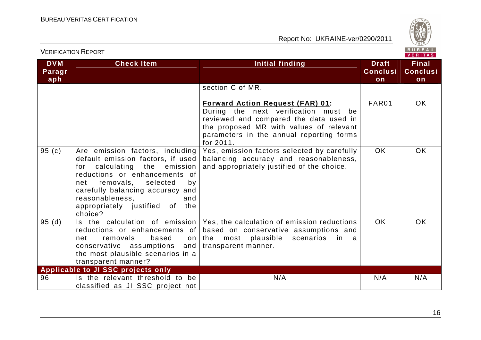

|                             | <b>VERIFICATION REPORT</b>                                                                                                                                                                                                                                                          | BUREAU<br>VERITAS                                                                                                                                                                                                             |                                       |                                       |
|-----------------------------|-------------------------------------------------------------------------------------------------------------------------------------------------------------------------------------------------------------------------------------------------------------------------------------|-------------------------------------------------------------------------------------------------------------------------------------------------------------------------------------------------------------------------------|---------------------------------------|---------------------------------------|
| <b>DVM</b><br>Paragr<br>aph | <b>Check Item</b>                                                                                                                                                                                                                                                                   | <b>Initial finding</b>                                                                                                                                                                                                        | <b>Draft</b><br><b>Conclusi</b><br>on | <b>Final</b><br><b>Conclusi</b><br>on |
|                             |                                                                                                                                                                                                                                                                                     | section C of MR.                                                                                                                                                                                                              |                                       |                                       |
|                             |                                                                                                                                                                                                                                                                                     | <b>Forward Action Request (FAR) 01:</b><br>During the next verification must be<br>reviewed and compared the data used in<br>the proposed MR with values of relevant<br>parameters in the annual reporting forms<br>for 2011. | FAR01                                 | OK.                                   |
| 95(c)                       | Are emission factors, including<br>default emission factors, if used<br>for calculating the emission<br>reductions or enhancements of<br>removals, selected<br>net<br>by<br>carefully balancing accuracy and<br>reasonableness,<br>and<br>appropriately justified of the<br>choice? | Yes, emission factors selected by carefully<br>balancing accuracy and reasonableness,<br>and appropriately justified of the choice.                                                                                           | <b>OK</b>                             | <b>OK</b>                             |
| 95(d)                       | Is the calculation of emission<br>reductions or enhancements of<br>removals<br>net<br>based<br>on<br>conservative assumptions and<br>the most plausible scenarios in a<br>transparent manner?                                                                                       | Yes, the calculation of emission reductions<br>based on conservative assumptions and<br>the<br>most plausible<br>scenarios<br>in<br>transparent manner.                                                                       | <b>OK</b>                             | <b>OK</b>                             |
| 96                          | Applicable to JI SSC projects only<br>Is the relevant threshold to be                                                                                                                                                                                                               | N/A                                                                                                                                                                                                                           | N/A                                   | N/A                                   |
|                             | classified as JI SSC project not                                                                                                                                                                                                                                                    |                                                                                                                                                                                                                               |                                       |                                       |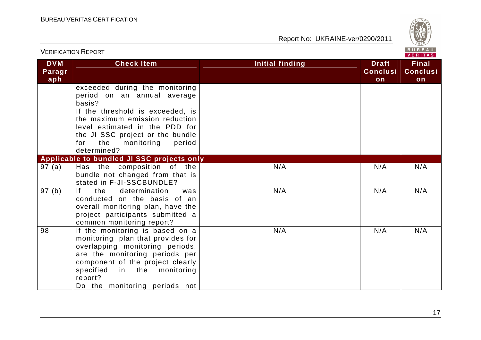

|                             | <b>VERIFICATION REPORT</b>                                                                                                                                                                                                                                               |                        |                                       | BUREAU<br><b>VERITAS</b>              |
|-----------------------------|--------------------------------------------------------------------------------------------------------------------------------------------------------------------------------------------------------------------------------------------------------------------------|------------------------|---------------------------------------|---------------------------------------|
| <b>DVM</b><br>Paragr<br>aph | <b>Check Item</b>                                                                                                                                                                                                                                                        | <b>Initial finding</b> | <b>Draft</b><br><b>Conclusi</b><br>on | <b>Final</b><br><b>Conclusi</b><br>on |
|                             | exceeded during the monitoring<br>period on an annual average<br>basis?<br>If the threshold is exceeded, is<br>the maximum emission reduction<br>level estimated in the PDD for<br>the JI SSC project or the bundle<br>the<br>monitoring<br>period<br>for<br>determined? |                        |                                       |                                       |
|                             | Applicable to bundled JI SSC projects only                                                                                                                                                                                                                               |                        |                                       |                                       |
| 97(a)                       | Has the composition of the<br>bundle not changed from that is<br>stated in F-JI-SSCBUNDLE?                                                                                                                                                                               | N/A<br>N/A             |                                       | N/A                                   |
| 97(b)                       | f <br>determination<br>the<br>was<br>conducted on the basis of an<br>overall monitoring plan, have the<br>project participants submitted a<br>common monitoring report?                                                                                                  | N/A                    | N/A                                   | N/A                                   |
| 98                          | If the monitoring is based on a<br>monitoring plan that provides for<br>overlapping monitoring periods,<br>are the monitoring periods per<br>component of the project clearly<br>in the monitoring<br>specified<br>report?<br>Do the monitoring periods not              | N/A<br>N/A             |                                       | N/A                                   |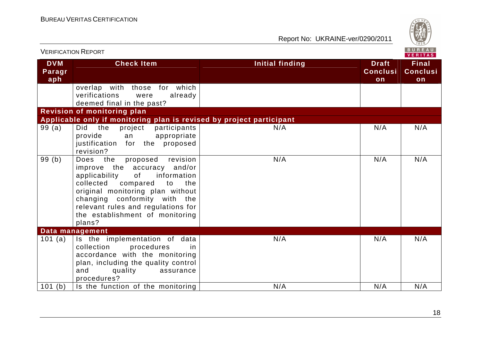

| <b>VERIFICATION REPORT</b>  |                                                                                                                                                                                                                                                                                                       |                        |                                       | <b>BUREAU</b><br>VERITAS              |
|-----------------------------|-------------------------------------------------------------------------------------------------------------------------------------------------------------------------------------------------------------------------------------------------------------------------------------------------------|------------------------|---------------------------------------|---------------------------------------|
| <b>DVM</b><br>Paragr<br>aph | <b>Check Item</b>                                                                                                                                                                                                                                                                                     | <b>Initial finding</b> | <b>Draft</b><br><b>Conclusi</b><br>on | <b>Final</b><br><b>Conclusi</b><br>on |
|                             | overlap with those for which<br>verifications<br>already<br>were<br>deemed final in the past?                                                                                                                                                                                                         |                        |                                       |                                       |
|                             | <b>Revision of monitoring plan</b>                                                                                                                                                                                                                                                                    |                        |                                       |                                       |
|                             | Applicable only if monitoring plan is revised by project participant                                                                                                                                                                                                                                  |                        |                                       |                                       |
| 99(a)                       | the<br>Did<br>project<br>participants<br>provide<br>appropriate<br>an<br>justification for the proposed<br>revision?                                                                                                                                                                                  | N/A                    | N/A                                   | N/A                                   |
| 99(b)                       | revision<br>the<br>Does<br>proposed<br>improve the accuracy and/or<br>information<br>applicability<br>of<br>collected<br>compared<br>the<br>to<br>original monitoring plan without<br>changing conformity with the<br>relevant rules and regulations for<br>the establishment of monitoring<br>plans? | N/A                    | N/A                                   | N/A                                   |
|                             | Data management                                                                                                                                                                                                                                                                                       |                        |                                       |                                       |
| 101 (a)                     | Is the implementation of data<br>collection<br>procedures<br>in<br>accordance with the monitoring<br>plan, including the quality control<br>and<br>quality<br>assurance<br>procedures?                                                                                                                | N/A                    | N/A                                   | N/A                                   |
| 101(b)                      | Is the function of the monitoring                                                                                                                                                                                                                                                                     | N/A                    | N/A                                   | N/A                                   |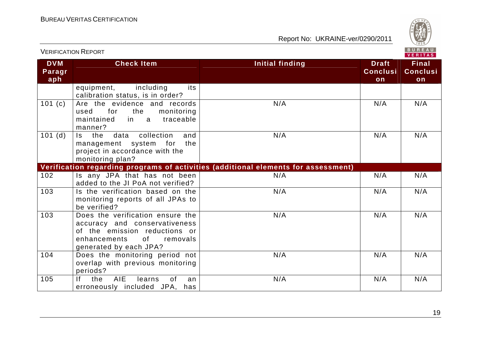

|                             |                                                                                                                                                                | VERITAS                                                                            |                                       |                                       |  |
|-----------------------------|----------------------------------------------------------------------------------------------------------------------------------------------------------------|------------------------------------------------------------------------------------|---------------------------------------|---------------------------------------|--|
| <b>DVM</b><br>Paragr<br>aph | <b>Check Item</b>                                                                                                                                              | <b>Initial finding</b>                                                             | <b>Draft</b><br><b>Conclusi</b><br>on | <b>Final</b><br><b>Conclusi</b><br>on |  |
|                             | including<br>equipment,<br>its<br>calibration status, is in order?                                                                                             |                                                                                    |                                       |                                       |  |
| 101(c)                      | Are the evidence and records<br>for<br>the<br>monitoring<br>used<br>traceable<br>maintained<br>in<br>a a<br>manner?                                            | N/A                                                                                | N/A                                   | N/A                                   |  |
| 101(d)                      | Is the<br>data<br>collection<br>and<br>the<br>management system for<br>project in accordance with the<br>monitoring plan?                                      | N/A                                                                                | N/A                                   | N/A                                   |  |
|                             |                                                                                                                                                                | Verification regarding programs of activities (additional elements for assessment) |                                       |                                       |  |
| 102                         | Is any JPA that has not been<br>added to the JI PoA not verified?                                                                                              | N/A                                                                                | N/A                                   | N/A                                   |  |
| 103                         | Is the verification based on the<br>monitoring reports of all JPAs to<br>be verified?                                                                          | N/A                                                                                | N/A                                   | N/A                                   |  |
| 103                         | Does the verification ensure the<br>accuracy and conservativeness<br>of the emission reductions or<br>enhancements<br>0f<br>removals<br>generated by each JPA? | N/A                                                                                | N/A                                   | N/A                                   |  |
| 104                         | Does the monitoring period not<br>overlap with previous monitoring<br>periods?                                                                                 | N/A                                                                                | N/A                                   | N/A                                   |  |
| 105                         | the<br><b>AIE</b><br>If.<br>learns<br>0f<br>an<br>erroneously included JPA, has                                                                                | N/A                                                                                | N/A                                   | N/A                                   |  |

VERIFICATION REPORT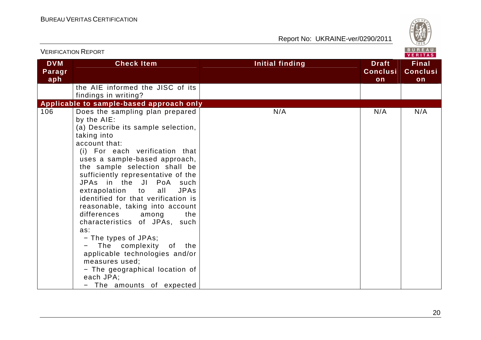

|                             | <b>VERIFICATION REPORT</b>                                                                                                                                                                                                                                                                                                                                                                                                                                                                                                                                                                                                                                            |                 |                                       | BUREAU<br><b>VERITAS</b>              |
|-----------------------------|-----------------------------------------------------------------------------------------------------------------------------------------------------------------------------------------------------------------------------------------------------------------------------------------------------------------------------------------------------------------------------------------------------------------------------------------------------------------------------------------------------------------------------------------------------------------------------------------------------------------------------------------------------------------------|-----------------|---------------------------------------|---------------------------------------|
| <b>DVM</b><br>Paragr<br>aph | <b>Check Item</b>                                                                                                                                                                                                                                                                                                                                                                                                                                                                                                                                                                                                                                                     | Initial finding | <b>Draft</b><br><b>Conclusi</b><br>on | <b>Final</b><br><b>Conclusi</b><br>on |
|                             | the AIE informed the JISC of its<br>findings in writing?                                                                                                                                                                                                                                                                                                                                                                                                                                                                                                                                                                                                              |                 |                                       |                                       |
|                             | Applicable to sample-based approach only                                                                                                                                                                                                                                                                                                                                                                                                                                                                                                                                                                                                                              |                 |                                       |                                       |
| 106                         | Does the sampling plan prepared<br>by the AIE:<br>(a) Describe its sample selection,<br>taking into<br>account that:<br>(i) For each verification that<br>uses a sample-based approach,<br>the sample selection shall be<br>sufficiently representative of the<br>JPAs in the JI PoA such<br>extrapolation to<br>all<br><b>JPAs</b><br>identified for that verification is<br>reasonable, taking into account<br>differences<br>the<br>among<br>characteristics of JPAs, such<br>as:<br>- The types of JPAs;<br>The complexity of the<br>applicable technologies and/or<br>measures used;<br>- The geographical location of<br>each JPA;<br>- The amounts of expected | N/A             | N/A                                   | N/A                                   |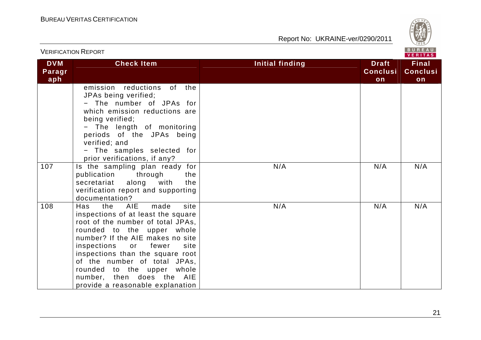

|                             | <b>VERIFICATION REPORT</b>                                                                                                                                                                                                                                                                                                                                                                        |                        | BUREAU<br>VERITAS                     |                                       |
|-----------------------------|---------------------------------------------------------------------------------------------------------------------------------------------------------------------------------------------------------------------------------------------------------------------------------------------------------------------------------------------------------------------------------------------------|------------------------|---------------------------------------|---------------------------------------|
| <b>DVM</b><br>Paragr<br>aph | <b>Check Item</b>                                                                                                                                                                                                                                                                                                                                                                                 | <b>Initial finding</b> | <b>Draft</b><br><b>Conclusi</b><br>on | <b>Final</b><br><b>Conclusi</b><br>on |
|                             | emission reductions<br>of<br>the<br>JPAs being verified;<br>- The number of JPAs for<br>which emission reductions are<br>being verified;<br>- The length of monitoring<br>periods of the JPAs being<br>verified; and<br>- The samples selected for<br>prior verifications, if any?                                                                                                                |                        |                                       |                                       |
| 107                         | Is the sampling plan ready for<br>through<br>publication<br>the<br>with<br>the<br>secretariat<br>along<br>verification report and supporting<br>documentation?                                                                                                                                                                                                                                    | N/A                    | N/A                                   | N/A                                   |
| 108                         | <b>AIE</b><br>made<br>site<br>Has<br>the<br>inspections of at least the square<br>root of the number of total JPAs,<br>rounded to the upper whole<br>number? If the AIE makes no site<br>inspections<br>fewer<br>site<br>or<br>inspections than the square root<br>of the number of total JPAs,<br>rounded to the upper<br>whole<br>number, then does the AIE<br>provide a reasonable explanation | N/A                    | N/A                                   | N/A                                   |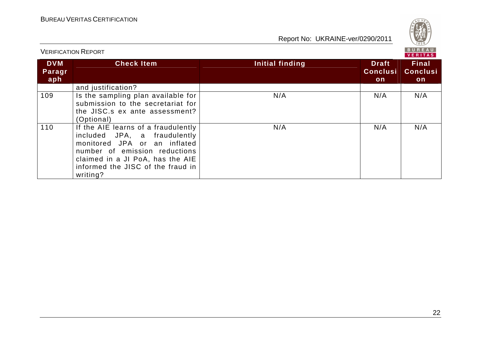

| <b>VERIFICATION REPORT</b>  |                                                                                                                                                                                                                           |                 | <b>BUREAU</b><br>VERITAS               |                                        |
|-----------------------------|---------------------------------------------------------------------------------------------------------------------------------------------------------------------------------------------------------------------------|-----------------|----------------------------------------|----------------------------------------|
| <b>DVM</b><br>Paragr<br>aph | <b>Check Item</b>                                                                                                                                                                                                         | Initial finding | <b>Draft</b><br><b>Conclusi</b><br>on. | <b>Final</b><br><b>Conclusi</b><br>on. |
|                             | and justification?                                                                                                                                                                                                        |                 |                                        |                                        |
| 109                         | Is the sampling plan available for<br>submission to the secretariat for<br>the JISC.s ex ante assessment?<br>(Optional)                                                                                                   | N/A             | N/A                                    | N/A                                    |
| 110                         | If the AIE learns of a fraudulently<br>included JPA, a fraudulently<br>monitored JPA or an inflated<br>number of emission reductions<br>claimed in a JI PoA, has the AIE<br>informed the JISC of the fraud in<br>writing? | N/A             | N/A                                    | N/A                                    |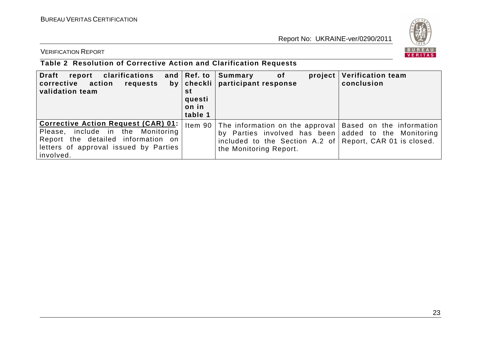

VERIFICATION REPORT

# **Table 2 Resolution of Corrective Action and Clarification Requests**

| <b>Draft</b><br>clarifications<br>report<br>corrective action<br>requests<br>validation team                                                                                | and $ Ref.$ to<br>st<br>questi<br>on in<br>table 1 | Summary<br>project<br>of<br>by   checkli   participant response                                                                                                                                                | <b>Verification team</b><br>conclusion |
|-----------------------------------------------------------------------------------------------------------------------------------------------------------------------------|----------------------------------------------------|----------------------------------------------------------------------------------------------------------------------------------------------------------------------------------------------------------------|----------------------------------------|
| <b>Corrective Action Request (CAR) 01:</b><br>Please, include in the Monitoring<br>Report the detailed information on<br>letters of approval issued by Parties<br>involved. |                                                    | Item 90 The information on the approval Based on the information<br>by Parties involved has been added to the Monitoring<br>included to the Section A.2 of Report, CAR 01 is closed.<br>the Monitoring Report. |                                        |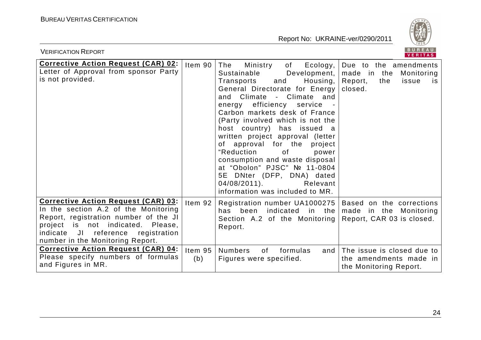

| BUREAU<br><b>VERIFICATION REPORT</b><br><b>VERITAS</b>                                                                                                                                                                                                                                                                                              |                               |                                                                                                                                                                                                                                                                                                                                                                                                                                                                                                                                                                    |                                                                                                          |  |
|-----------------------------------------------------------------------------------------------------------------------------------------------------------------------------------------------------------------------------------------------------------------------------------------------------------------------------------------------------|-------------------------------|--------------------------------------------------------------------------------------------------------------------------------------------------------------------------------------------------------------------------------------------------------------------------------------------------------------------------------------------------------------------------------------------------------------------------------------------------------------------------------------------------------------------------------------------------------------------|----------------------------------------------------------------------------------------------------------|--|
| <b>Corrective Action Request (CAR) 02:</b><br>Letter of Approval from sponsor Party<br>is not provided.                                                                                                                                                                                                                                             | Item 90                       | The<br>Ecology,<br>Ministry<br>of<br>Sustainable<br>Development,<br>Housing,<br>and<br>Transports<br>General Directorate for Energy<br>and Climate - Climate and<br>efficiency service<br>energy<br>Carbon markets desk of France<br>(Party involved which is not the<br>host country) has issued a<br>written project approval (letter<br>of approval for the project<br>"Reduction<br>0f<br>power<br>consumption and waste disposal<br>at "Obolon" PJSC" № 11-0804<br>5E DNter (DFP, DNA) dated<br>$04/08/2011$ .<br>Relevant<br>information was included to MR. | Due to the amendments<br>made in the<br>Monitoring<br>Report,<br>the<br>issue<br><b>IS</b><br>closed.    |  |
| Corrective Action Request (CAR) 03:<br>In the section A.2 of the Monitoring<br>Report, registration number of the JI<br>project is not indicated. Please,<br>indicate JI<br>reference<br>registration<br>number in the Monitoring Report.<br><b>Corrective Action Request (CAR) 04:</b><br>Please specify numbers of formulas<br>and Figures in MR. | Item $92$<br>Item $95$<br>(b) | Registration number UA1000275   Based on the corrections<br>has been indicated in the<br>Section A.2 of the Monitoring Report, CAR 03 is closed.<br>Report.<br><b>Numbers</b><br>0f<br>formulas<br>and<br>Figures were specified.                                                                                                                                                                                                                                                                                                                                  | made in the Monitoring<br>The issue is closed due to<br>the amendments made in<br>the Monitoring Report. |  |